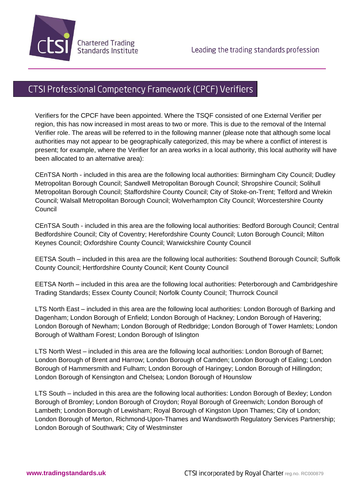

## CTSI Professional Competency Framework (CPCF) Verifiers

Verifiers for the CPCF have been appointed. Where the TSQF consisted of one External Verifier per region, this has now increased in most areas to two or more. This is due to the removal of the Internal Verifier role. The areas will be referred to in the following manner (please note that although some local authorities may not appear to be geographically categorized, this may be where a conflict of interest is present; for example, where the Verifier for an area works in a local authority, this local authority will have been allocated to an alternative area):

CEnTSA North - included in this area are the following local authorities: Birmingham City Council; Dudley Metropolitan Borough Council; Sandwell Metropolitan Borough Council; Shropshire Council; Solihull Metropolitan Borough Council; Staffordshire County Council; City of Stoke-on-Trent; Telford and Wrekin Council; Walsall Metropolitan Borough Council; Wolverhampton City Council; Worcestershire County **Council** 

CEnTSA South - included in this area are the following local authorities: Bedford Borough Council; Central Bedfordshire Council; City of Coventry; Herefordshire County Council; Luton Borough Council; Milton Keynes Council; Oxfordshire County Council; Warwickshire County Council

EETSA South – included in this area are the following local authorities: Southend Borough Council; Suffolk County Council; Hertfordshire County Council; Kent County Council

EETSA North – included in this area are the following local authorities: Peterborough and Cambridgeshire Trading Standards; Essex County Council; Norfolk County Council; Thurrock Council

LTS North East – included in this area are the following local authorities: London Borough of Barking and Dagenham; London Borough of Enfield; London Borough of Hackney; London Borough of Havering; London Borough of Newham; London Borough of Redbridge; London Borough of Tower Hamlets; London Borough of Waltham Forest; London Borough of Islington

LTS North West – included in this area are the following local authorities: London Borough of Barnet; London Borough of Brent and Harrow; London Borough of Camden; London Borough of Ealing; London Borough of Hammersmith and Fulham; London Borough of Haringey; London Borough of Hillingdon; London Borough of Kensington and Chelsea; London Borough of Hounslow

LTS South – included in this area are the following local authorities: London Borough of Bexley; London Borough of Bromley; London Borough of Croydon; Royal Borough of Greenwich; London Borough of Lambeth; London Borough of Lewisham; Royal Borough of Kingston Upon Thames; City of London; London Borough of Merton, Richmond-Upon-Thames and Wandsworth Regulatory Services Partnership; London Borough of Southwark; City of Westminster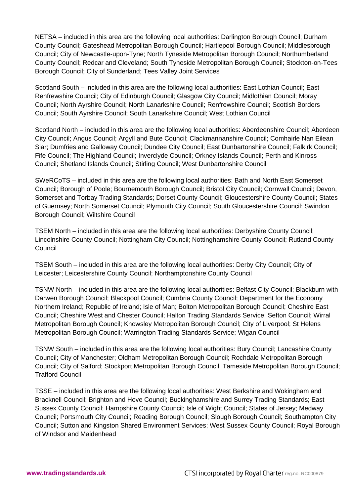NETSA – included in this area are the following local authorities: Darlington Borough Council; Durham County Council; Gateshead Metropolitan Borough Council; Hartlepool Borough Council; Middlesbrough Council; City of Newcastle-upon-Tyne; North Tyneside Metropolitan Borough Council; Northumberland County Council; Redcar and Cleveland; South Tyneside Metropolitan Borough Council; Stockton-on-Tees Borough Council; City of Sunderland; Tees Valley Joint Services

Scotland South – included in this area are the following local authorities: East Lothian Council; East Renfrewshire Council; City of Edinburgh Council; Glasgow City Council; Midlothian Council; Moray Council; North Ayrshire Council; North Lanarkshire Council; Renfrewshire Council; Scottish Borders Council; South Ayrshire Council; South Lanarkshire Council; West Lothian Council

Scotland North – included in this area are the following local authorities: Aberdeenshire Council; Aberdeen City Council; Angus Council; Argyll and Bute Council; Clackmannanshire Council; Comhairle Nan Eilean Siar; Dumfries and Galloway Council; Dundee City Council; East Dunbartonshire Council; Falkirk Council; Fife Council; The Highland Council; Inverclyde Council; Orkney Islands Council; Perth and Kinross Council; Shetland Islands Council; Stirling Council; West Dunbartonshire Council

SWeRCoTS – included in this area are the following local authorities: Bath and North East Somerset Council; Borough of Poole; Bournemouth Borough Council; Bristol City Council; Cornwall Council; Devon, Somerset and Torbay Trading Standards; Dorset County Council; Gloucestershire County Council; States of Guernsey; North Somerset Council; Plymouth City Council; South Gloucestershire Council; Swindon Borough Council; Wiltshire Council

TSEM North – included in this area are the following local authorities: Derbyshire County Council; Lincolnshire County Council; Nottingham City Council; Nottinghamshire County Council; Rutland County **Council** 

TSEM South – included in this area are the following local authorities: Derby City Council; City of Leicester; Leicestershire County Council; Northamptonshire County Council

TSNW North – included in this area are the following local authorities: Belfast City Council; Blackburn with Darwen Borough Council; Blackpool Council; Cumbria County Council; Department for the Economy Northern Ireland; Republic of Ireland; Isle of Man; Bolton Metropolitan Borough Council; Cheshire East Council; Cheshire West and Chester Council; Halton Trading Standards Service; Sefton Council; Wirral Metropolitan Borough Council; Knowsley Metropolitan Borough Council; City of Liverpool; St Helens Metropolitan Borough Council; Warrington Trading Standards Service; Wigan Council

TSNW South – included in this area are the following local authorities: Bury Council; Lancashire County Council; City of Manchester; Oldham Metropolitan Borough Council; Rochdale Metropolitan Borough Council; City of Salford; Stockport Metropolitan Borough Council; Tameside Metropolitan Borough Council; Trafford Council

TSSE – included in this area are the following local authorities: West Berkshire and Wokingham and Bracknell Council; Brighton and Hove Council; Buckinghamshire and Surrey Trading Standards; East Sussex County Council; Hampshire County Council; Isle of Wight Council; States of Jersey; Medway Council; Portsmouth City Council; Reading Borough Council; Slough Borough Council; Southampton City Council; Sutton and Kingston Shared Environment Services; West Sussex County Council; Royal Borough of Windsor and Maidenhead